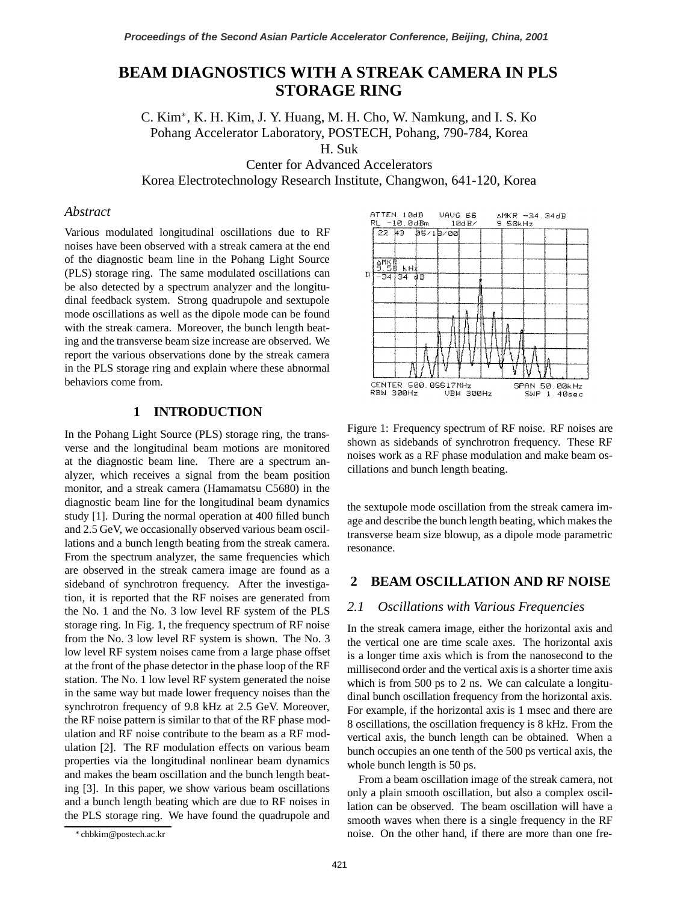# **BEAM DIAGNOSTICS WITH A STREAK CAMERA IN PLS STORAGE RING**

C. Kim , K. H. Kim, J. Y. Huang, M. H. Cho, W. Namkung, and I. S. Ko Pohang Accelerator Laboratory, POSTECH, Pohang, 790-784, Korea H. Suk

Center for Advanced Accelerators

Korea Electrotechnology Research Institute, Changwon, 641-120, Korea

#### *Abstract*

Various modulated longitudinal oscillations due to RF noises have been observed with a streak camera at the end of the diagnostic beam line in the Pohang Light Source (PLS) storage ring. The same modulated oscillations can be also detected by a spectrum analyzer and the longitudinal feedback system. Strong quadrupole and sextupole mode oscillations as well as the dipole mode can be found with the streak camera. Moreover, the bunch length beating and the transverse beam size increase are observed. We report the various observations done by the streak camera in the PLS storage ring and explain where these abnormal behaviors come from.

## **1 INTRODUCTION**

In the Pohang Light Source (PLS) storage ring, the transverse and the longitudinal beam motions are monitored at the diagnostic beam line. There are a spectrum analyzer, which receives a signal from the beam position monitor, and a streak camera (Hamamatsu C5680) in the diagnostic beam line for the longitudinal beam dynamics study [1]. During the normal operation at 400 filled bunch and 2.5 GeV, we occasionally observed various beam oscillations and a bunch length beating from the streak camera. From the spectrum analyzer, the same frequencies which are observed in the streak camera image are found as a sideband of synchrotron frequency. After the investigation, it is reported that the RF noises are generated from the No. 1 and the No. 3 low level RF system of the PLS storage ring. In Fig. 1, the frequency spectrum of RF noise from the No. 3 low level RF system is shown. The No. 3 low level RF system noises came from a large phase offset at the front of the phase detector in the phase loop of the RF station. The No. 1 low level RF system generated the noise in the same way but made lower frequency noises than the synchrotron frequency of 9.8 kHz at 2.5 GeV. Moreover, the RF noise pattern is similar to that of the RF phase modulation and RF noise contribute to the beam as a RF modulation [2]. The RF modulation effects on various beam properties via the longitudinal nonlinear beam dynamics and makes the beam oscillation and the bunch length beating [3]. In this paper, we show various beam oscillations and a bunch length beating which are due to RF noises in the PLS storage ring. We have found the quadrupole and



Figure 1: Frequency spectrum of RF noise. RF noises are shown as sidebands of synchrotron frequency. These RF noises work as a RF phase modulation and make beam oscillations and bunch length beating.

the sextupole mode oscillation from the streak camera image and describe the bunch length beating, which makes the transverse beam size blowup, as a dipole mode parametric resonance.

## **2 BEAM OSCILLATION AND RF NOISE**

#### *2.1 Oscillations with Various Frequencies*

In the streak camera image, either the horizontal axis and the vertical one are time scale axes. The horizontal axis is a longer time axis which is from the nanosecond to the millisecond order and the vertical axis is a shorter time axis which is from 500 ps to 2 ns. We can calculate a longitudinal bunch oscillation frequency from the horizontal axis. For example, if the horizontal axis is 1 msec and there are 8 oscillations, the oscillation frequency is 8 kHz. From the vertical axis, the bunch length can be obtained. When a bunch occupies an one tenth of the 500 ps vertical axis, the whole bunch length is 50 ps.

From a beam oscillation image of the streak camera, not only a plain smooth oscillation, but also a complex oscillation can be observed. The beam oscillation will have a smooth waves when there is a single frequency in the RF noise. On the other hand, if there are more than one fre-

chbkim@postech.ac.kr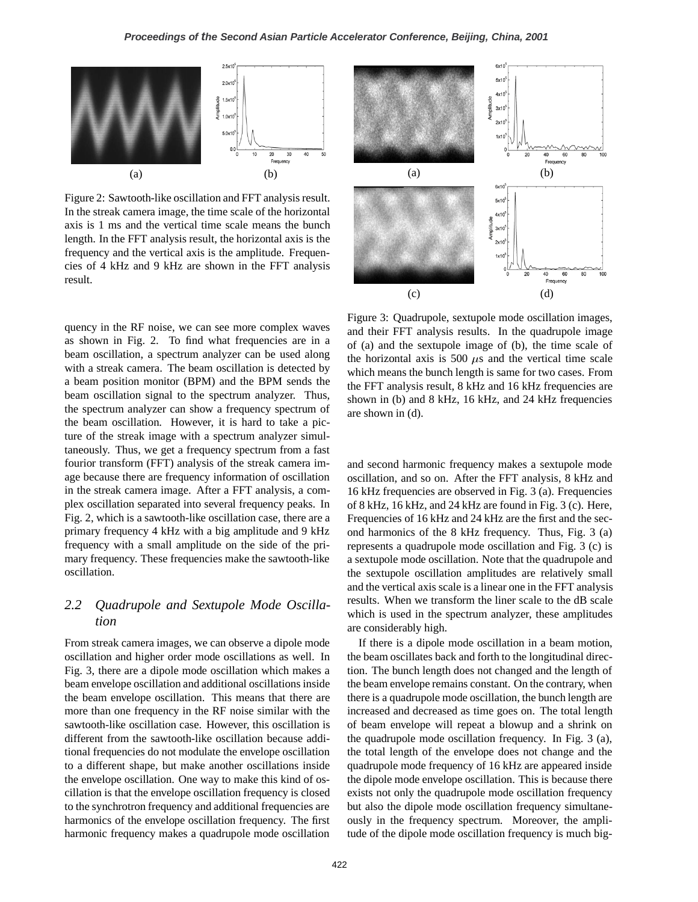

Figure 2: Sawtooth-like oscillation and FFT analysis result. In the streak camera image, the time scale of the horizontal axis is 1 ms and the vertical time scale means the bunch length. In the FFT analysis result, the horizontal axis is the frequency and the vertical axis is the amplitude. Frequencies of 4 kHz and 9 kHz are shown in the FFT analysis result.



quency in the RF noise, we can see more complex waves as shown in Fig. 2. To find what frequencies are in a beam oscillation, a spectrum analyzer can be used along with a streak camera. The beam oscillation is detected by a beam position monitor (BPM) and the BPM sends the beam oscillation signal to the spectrum analyzer. Thus, the spectrum analyzer can show a frequency spectrum of the beam oscillation. However, it is hard to take a picture of the streak image with a spectrum analyzer simultaneously. Thus, we get a frequency spectrum from a fast fourior transform (FFT) analysis of the streak camera image because there are frequency information of oscillation in the streak camera image. After a FFT analysis, a complex oscillation separated into several frequency peaks. In Fig. 2, which is a sawtooth-like oscillation case, there are a primary frequency 4 kHz with a big amplitude and 9 kHz frequency with a small amplitude on the side of the primary frequency. These frequencies make the sawtooth-like oscillation.

## *2.2 Quadrupole and Sextupole Mode Oscillation*

From streak camera images, we can observe a dipole mode oscillation and higher order mode oscillations as well. In Fig. 3, there are a dipole mode oscillation which makes a beam envelope oscillation and additional oscillations inside the beam envelope oscillation. This means that there are more than one frequency in the RF noise similar with the sawtooth-like oscillation case. However, this oscillation is different from the sawtooth-like oscillation because additional frequencies do not modulate the envelope oscillation to a different shape, but make another oscillations inside the envelope oscillation. One way to make this kind of oscillation is that the envelope oscillation frequency is closed to the synchrotron frequency and additional frequencies are harmonics of the envelope oscillation frequency. The first harmonic frequency makes a quadrupole mode oscillation

Figure 3: Quadrupole, sextupole mode oscillation images, and their FFT analysis results. In the quadrupole image of (a) and the sextupole image of (b), the time scale of the horizontal axis is 500  $\mu$ s and the vertical time scale which means the bunch length is same for two cases. From the FFT analysis result, 8 kHz and 16 kHz frequencies are shown in (b) and 8 kHz, 16 kHz, and 24 kHz frequencies are shown in (d).

and second harmonic frequency makes a sextupole mode oscillation, and so on. After the FFT analysis, 8 kHz and 16 kHz frequencies are observed in Fig. 3 (a). Frequencies of 8 kHz, 16 kHz, and 24 kHz are found in Fig. 3 (c). Here, Frequencies of 16 kHz and 24 kHz are the first and the second harmonics of the 8 kHz frequency. Thus, Fig. 3 (a) represents a quadrupole mode oscillation and Fig. 3 (c) is a sextupole mode oscillation. Note that the quadrupole and the sextupole oscillation amplitudes are relatively small and the vertical axis scale is a linear one in the FFT analysis results. When we transform the liner scale to the dB scale which is used in the spectrum analyzer, these amplitudes are considerably high.

If there is a dipole mode oscillation in a beam motion, the beam oscillates back and forth to the longitudinal direction. The bunch length does not changed and the length of the beam envelope remains constant. On the contrary, when there is a quadrupole mode oscillation, the bunch length are increased and decreased as time goes on. The total length of beam envelope will repeat a blowup and a shrink on the quadrupole mode oscillation frequency. In Fig. 3 (a), the total length of the envelope does not change and the quadrupole mode frequency of 16 kHz are appeared inside the dipole mode envelope oscillation. This is because there exists not only the quadrupole mode oscillation frequency but also the dipole mode oscillation frequency simultaneously in the frequency spectrum. Moreover, the amplitude of the dipole mode oscillation frequency is much big-